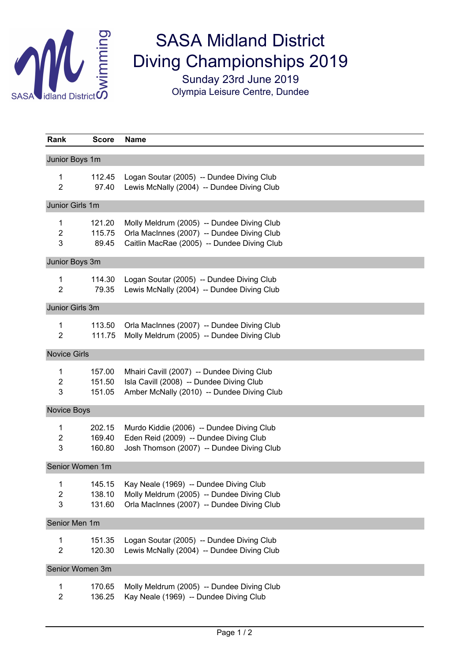

## SASA Midland District Diving Championships 2019

Sunday 23rd June 2019 Olympia Leisure Centre, Dundee

| Rank                     | <b>Score</b>               | Name                                                                                                                                    |  |  |
|--------------------------|----------------------------|-----------------------------------------------------------------------------------------------------------------------------------------|--|--|
| Junior Boys 1m           |                            |                                                                                                                                         |  |  |
| 1<br>$\overline{2}$      | 112.45<br>97.40            | Logan Soutar (2005) -- Dundee Diving Club<br>Lewis McNally (2004) -- Dundee Diving Club                                                 |  |  |
| Junior Girls 1m          |                            |                                                                                                                                         |  |  |
| 1<br>2<br>3              | 121.20<br>115.75<br>89.45  | Molly Meldrum (2005) -- Dundee Diving Club<br>Orla MacInnes (2007) -- Dundee Diving Club<br>Caitlin MacRae (2005) -- Dundee Diving Club |  |  |
| Junior Boys 3m           |                            |                                                                                                                                         |  |  |
| 1<br>$\overline{2}$      | 114.30<br>79.35            | Logan Soutar (2005) -- Dundee Diving Club<br>Lewis McNally (2004) -- Dundee Diving Club                                                 |  |  |
| Junior Girls 3m          |                            |                                                                                                                                         |  |  |
| 1<br>$\overline{2}$      | 113.50<br>111.75           | Orla MacInnes (2007) -- Dundee Diving Club<br>Molly Meldrum (2005) -- Dundee Diving Club                                                |  |  |
| <b>Novice Girls</b>      |                            |                                                                                                                                         |  |  |
| 1<br>$\overline{c}$<br>3 | 157.00<br>151.50<br>151.05 | Mhairi Cavill (2007) -- Dundee Diving Club<br>Isla Cavill (2008) -- Dundee Diving Club<br>Amber McNally (2010) -- Dundee Diving Club    |  |  |
| Novice Boys              |                            |                                                                                                                                         |  |  |
| 1<br>$\overline{c}$<br>3 | 202.15<br>169.40<br>160.80 | Murdo Kiddie (2006) -- Dundee Diving Club<br>Eden Reid (2009) -- Dundee Diving Club<br>Josh Thomson (2007) -- Dundee Diving Club        |  |  |
| Senior Women 1m          |                            |                                                                                                                                         |  |  |
| 1<br>2<br>3              | 145.15<br>138.10<br>131.60 | Kay Neale (1969) -- Dundee Diving Club<br>Molly Meldrum (2005) -- Dundee Diving Club<br>Orla MacInnes (2007) -- Dundee Diving Club      |  |  |
| Senior Men 1m            |                            |                                                                                                                                         |  |  |
| 1<br>$\overline{2}$      | 151.35<br>120.30           | Logan Soutar (2005) -- Dundee Diving Club<br>Lewis McNally (2004) -- Dundee Diving Club                                                 |  |  |
| Senior Women 3m          |                            |                                                                                                                                         |  |  |
| 1<br>$\overline{a}$      | 170.65<br>136.25           | Molly Meldrum (2005) -- Dundee Diving Club<br>Kay Neale (1969) -- Dundee Diving Club                                                    |  |  |